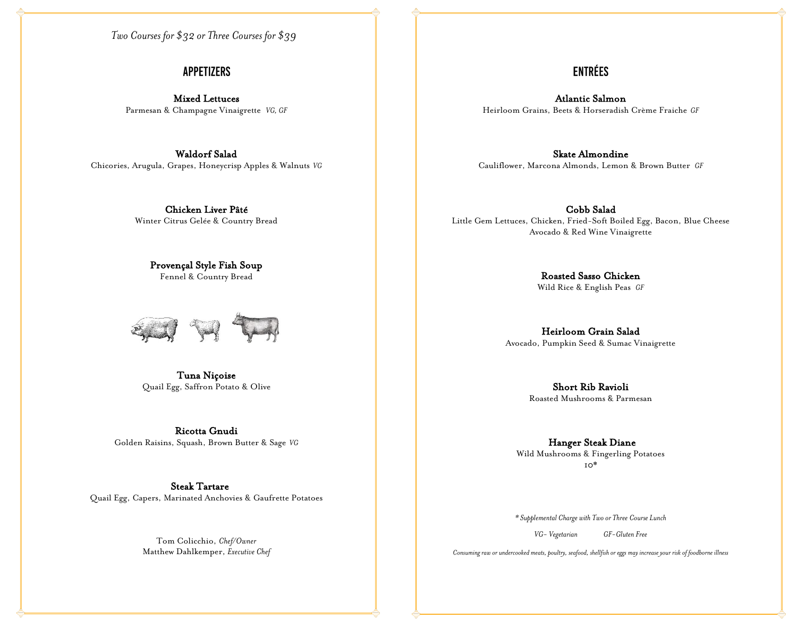*Two Courses for \$32 or Three Courses for \$39*

#### **APPETIZERS**

Mixed Lettuces Parmesan & Champagne Vinaigrette *VG, GF*

Waldorf Salad Chicories, Arugula, Grapes, Honeycrisp Apples & Walnuts *VG*

> Chicken Liver Pâté Winter Citrus Gelée & Country Bread

Provençal Style Fish Soup Fennel & Country Bread



Tuna Niçoise Quail Egg, Saffron Potato & Olive

Ricotta Gnudi Golden Raisins, Squash, Brown Butter & Sage *VG*

Steak Tartare Quail Egg, Capers, Marinated Anchovies & Gaufrette Potatoes

> Tom Colicchio, *Chef/Owner* Matthew Dahlkemper, *Executive Chef*

### **ENTRÉES**

Atlantic Salmon Heirloom Grains, Beets & Horseradish Crème Fraiche *GF*

Skate Almondine Cauliflower, Marcona Almonds, Lemon & Brown Butter *GF*

Cobb Salad Little Gem Lettuces, Chicken, Fried-Soft Boiled Egg, Bacon, Blue Cheese Avocado & Red Wine Vinaigrette

> Roasted Sasso Chicken Wild Rice & English Peas *GF*

Heirloom Grain Salad Avocado, Pumpkin Seed & Sumac Vinaigrette

> Short Rib Ravioli Roasted Mushrooms & Parmesan

 Hanger Steak Diane Wild Mushrooms & Fingerling Potatoes 10\*

*\* Supplemental Charge with Two or Three Course Lunch*

*VG- Vegetarian GF-Gluten Free*

*Consuming raw or undercooked meats, poultry, seafood, shellfish or eggs may increase your risk of foodborne illness*